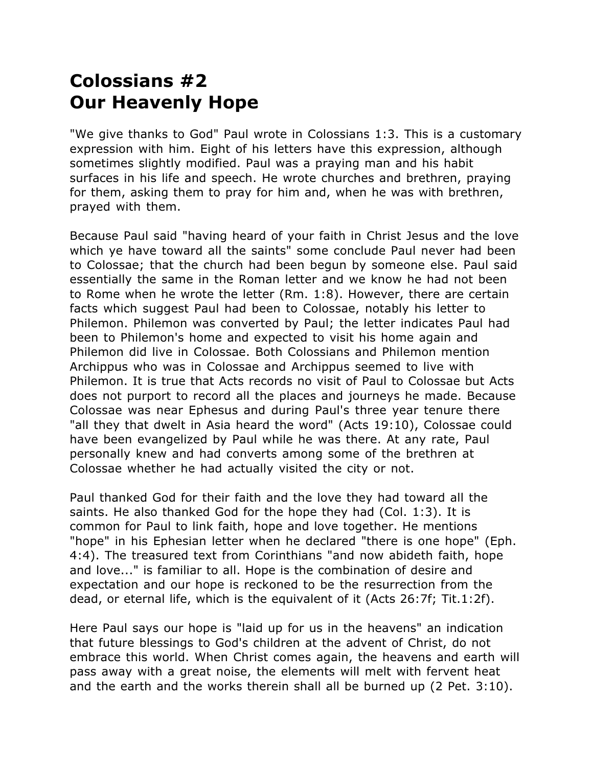## **Colossians #2 Our Heavenly Hope**

"We give thanks to God" Paul wrote in Colossians 1:3. This is a customary expression with him. Eight of his letters have this expression, although sometimes slightly modified. Paul was a praying man and his habit surfaces in his life and speech. He wrote churches and brethren, praying for them, asking them to pray for him and, when he was with brethren, prayed with them.

Because Paul said "having heard of your faith in Christ Jesus and the love which ye have toward all the saints" some conclude Paul never had been to Colossae; that the church had been begun by someone else. Paul said essentially the same in the Roman letter and we know he had not been to Rome when he wrote the letter (Rm. 1:8). However, there are certain facts which suggest Paul had been to Colossae, notably his letter to Philemon. Philemon was converted by Paul; the letter indicates Paul had been to Philemon's home and expected to visit his home again and Philemon did live in Colossae. Both Colossians and Philemon mention Archippus who was in Colossae and Archippus seemed to live with Philemon. It is true that Acts records no visit of Paul to Colossae but Acts does not purport to record all the places and journeys he made. Because Colossae was near Ephesus and during Paul's three year tenure there "all they that dwelt in Asia heard the word" (Acts 19:10), Colossae could have been evangelized by Paul while he was there. At any rate, Paul personally knew and had converts among some of the brethren at Colossae whether he had actually visited the city or not.

Paul thanked God for their faith and the love they had toward all the saints. He also thanked God for the hope they had (Col. 1:3). It is common for Paul to link faith, hope and love together. He mentions "hope" in his Ephesian letter when he declared "there is one hope" (Eph. 4:4). The treasured text from Corinthians "and now abideth faith, hope and love..." is familiar to all. Hope is the combination of desire and expectation and our hope is reckoned to be the resurrection from the dead, or eternal life, which is the equivalent of it (Acts 26:7f; Tit.1:2f).

Here Paul says our hope is "laid up for us in the heavens" an indication that future blessings to God's children at the advent of Christ, do not embrace this world. When Christ comes again, the heavens and earth will pass away with a great noise, the elements will melt with fervent heat and the earth and the works therein shall all be burned up (2 Pet. 3:10).